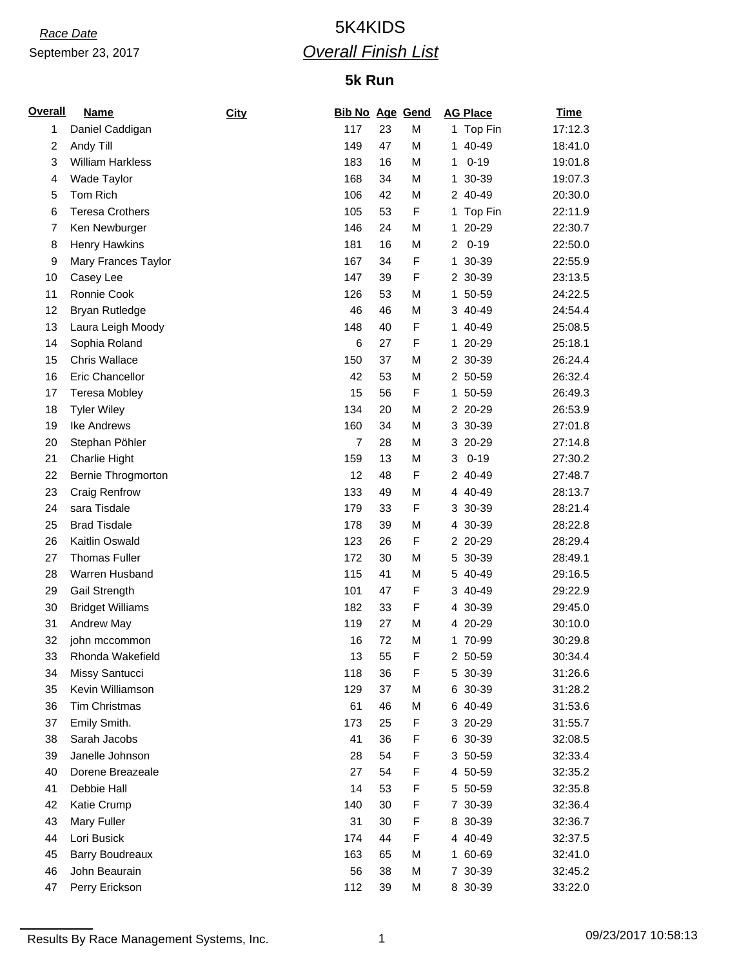## *Race Date* 5K4KIDS *Overall Finish List*

## **5k Run**

| Overall        | <b>Name</b>             | <b>City</b> | <b>Bib No Age Gend</b> |    |   | <b>AG Place</b> | <b>Time</b> |
|----------------|-------------------------|-------------|------------------------|----|---|-----------------|-------------|
| 1              | Daniel Caddigan         |             | 117                    | 23 | M | 1 Top Fin       | 17:12.3     |
| $\overline{c}$ | Andy Till               |             | 149                    | 47 | M | 1 40-49         | 18:41.0     |
| 3              | <b>William Harkless</b> |             | 183                    | 16 | M | $0 - 19$<br>1   | 19:01.8     |
| 4              | Wade Taylor             |             | 168                    | 34 | M | 30-39<br>1.     | 19:07.3     |
| 5              | Tom Rich                |             | 106                    | 42 | M | 2 40-49         | 20:30.0     |
| 6              | <b>Teresa Crothers</b>  |             | 105                    | 53 | F | Top Fin<br>1    | 22:11.9     |
| 7              | Ken Newburger           |             | 146                    | 24 | M | 20-29<br>1.     | 22:30.7     |
| 8              | Henry Hawkins           |             | 181                    | 16 | M | $0 - 19$<br>2   | 22:50.0     |
| 9              | Mary Frances Taylor     |             | 167                    | 34 | F | 1 30-39         | 22:55.9     |
| 10             | Casey Lee               |             | 147                    | 39 | F | 2 30-39         | 23:13.5     |
| 11             | Ronnie Cook             |             | 126                    | 53 | M | 1 50-59         | 24:22.5     |
| 12             | <b>Bryan Rutledge</b>   |             | 46                     | 46 | M | 3 40-49         | 24:54.4     |
| 13             | Laura Leigh Moody       |             | 148                    | 40 | F | 40-49<br>1.     | 25:08.5     |
| 14             | Sophia Roland           |             | 6                      | 27 | F | 1 20-29         | 25:18.1     |
| 15             | <b>Chris Wallace</b>    |             | 150                    | 37 | M | 2 30-39         | 26:24.4     |
| 16             | Eric Chancellor         |             | 42                     | 53 | M | 2 50-59         | 26:32.4     |
| 17             | <b>Teresa Mobley</b>    |             | 15                     | 56 | F | 1 50-59         | 26:49.3     |
| 18             | <b>Tyler Wiley</b>      |             | 134                    | 20 | М | 2 20-29         | 26:53.9     |
| 19             | Ike Andrews             |             | 160                    | 34 | M | 3 30-39         | 27:01.8     |
| 20             | Stephan Pöhler          |             | $\overline{7}$         | 28 | M | 20-29<br>3      | 27:14.8     |
| 21             | Charlie Hight           |             | 159                    | 13 | M | $0 - 19$<br>3   | 27:30.2     |
| 22             | Bernie Throgmorton      |             | 12                     | 48 | F | 2 40-49         | 27:48.7     |
| 23             | Craig Renfrow           |             | 133                    | 49 | M | 4 40-49         | 28:13.7     |
| 24             | sara Tisdale            |             | 179                    | 33 | F | 3 30-39         | 28:21.4     |
| 25             | <b>Brad Tisdale</b>     |             | 178                    | 39 | M | 4 30-39         | 28:22.8     |
| 26             | Kaitlin Oswald          |             | 123                    | 26 | F | 2 20-29         | 28:29.4     |
| 27             | <b>Thomas Fuller</b>    |             | 172                    | 30 | М | 5 30-39         | 28:49.1     |
| 28             | Warren Husband          |             | 115                    | 41 | M | 5 40-49         | 29:16.5     |
| 29             | Gail Strength           |             | 101                    | 47 | F | 3 40-49         | 29:22.9     |
| 30             | <b>Bridget Williams</b> |             | 182                    | 33 | F | 4 30-39         | 29:45.0     |
| 31             | Andrew May              |             | 119                    | 27 | M | 4 20-29         | 30:10.0     |
| 32             | john mccommon           |             | 16                     | 72 | М | 1 70-99         | 30:29.8     |
| 33             | Rhonda Wakefield        |             | 13                     | 55 | F | 2 50-59         | 30:34.4     |
| 34             | Missy Santucci          |             | 118                    | 36 | F | 5 30-39         | 31:26.6     |
| 35             | Kevin Williamson        |             | 129                    | 37 | М | 6 30-39         | 31:28.2     |
| 36             | <b>Tim Christmas</b>    |             | 61                     | 46 | М | 6 40-49         | 31:53.6     |
| 37             | Emily Smith.            |             | 173                    | 25 | F | 3 20-29         | 31:55.7     |
| 38             | Sarah Jacobs            |             | 41                     | 36 | F | 6 30-39         | 32:08.5     |
| 39             | Janelle Johnson         |             | 28                     | 54 | F | 3 50-59         | 32:33.4     |
| 40             | Dorene Breazeale        |             | 27                     | 54 | F | 4 50-59         | 32:35.2     |
| 41             | Debbie Hall             |             | 14                     | 53 | F | 5 50-59         | 32:35.8     |
| 42             | Katie Crump             |             | 140                    | 30 | F | 7 30-39         | 32:36.4     |
| 43             | Mary Fuller             |             | 31                     | 30 | F | 8 30-39         | 32:36.7     |
| 44             | Lori Busick             |             | 174                    | 44 | F | 4 40-49         | 32:37.5     |
| 45             | Barry Boudreaux         |             | 163                    | 65 | М | 1 60-69         | 32:41.0     |
| 46             | John Beaurain           |             | 56                     | 38 | M | 7 30-39         | 32:45.2     |
| 47             | Perry Erickson          |             | 112                    | 39 | М | 8 30-39         | 33:22.0     |

Results By Race Management Systems, Inc. 1 09/23/2017 10:58:13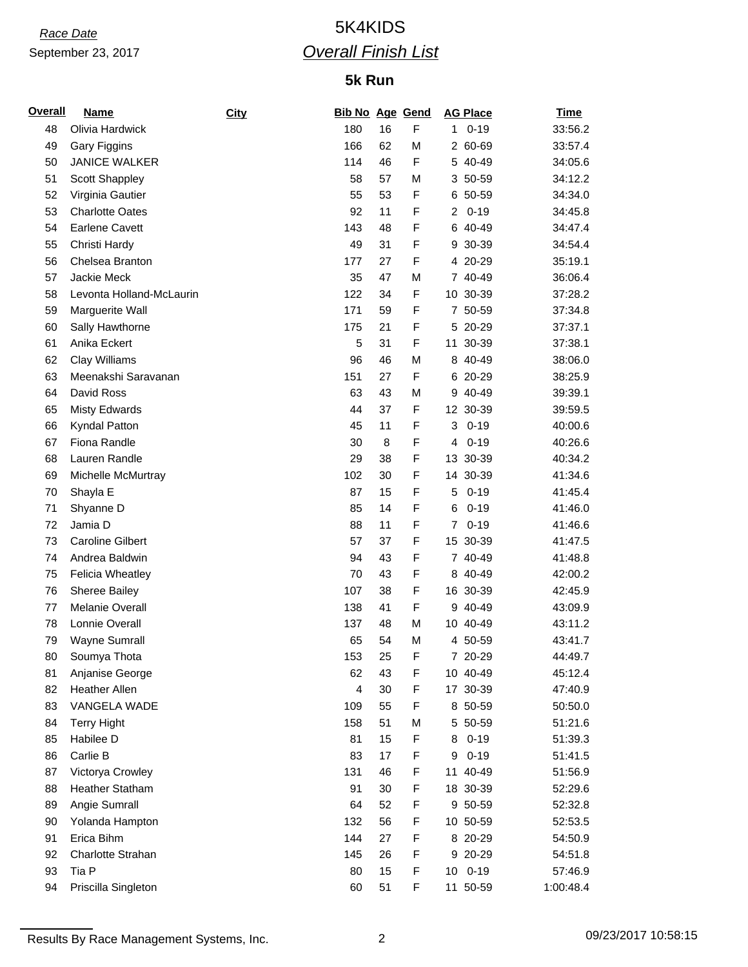## *Race Date* 5K4KIDS *Overall Finish List*

## **5k Run**

| <u>Overall</u> | <b>Name</b>              | City | <b>Bib No Age Gend</b> |    |   |                | <b>AG Place</b> | <b>Time</b> |
|----------------|--------------------------|------|------------------------|----|---|----------------|-----------------|-------------|
| 48             | Olivia Hardwick          |      | 180                    | 16 | F | 1.             | $0 - 19$        | 33:56.2     |
| 49             | Gary Figgins             |      | 166                    | 62 | М |                | 2 60-69         | 33:57.4     |
| 50             | <b>JANICE WALKER</b>     |      | 114                    | 46 | F |                | 5 40-49         | 34:05.6     |
| 51             | Scott Shappley           |      | 58                     | 57 | M |                | 3 50-59         | 34:12.2     |
| 52             | Virginia Gautier         |      | 55                     | 53 | F |                | 6 50-59         | 34:34.0     |
| 53             | <b>Charlotte Oates</b>   |      | 92                     | 11 | F | $\overline{2}$ | $0 - 19$        | 34:45.8     |
| 54             | <b>Earlene Cavett</b>    |      | 143                    | 48 | F | 6              | 40-49           | 34:47.4     |
| 55             | Christi Hardy            |      | 49                     | 31 | F |                | 9 30-39         | 34:54.4     |
| 56             | Chelsea Branton          |      | 177                    | 27 | F |                | 4 20-29         | 35:19.1     |
| 57             | Jackie Meck              |      | 35                     | 47 | M |                | 7 40-49         | 36:06.4     |
| 58             | Levonta Holland-McLaurin |      | 122                    | 34 | F |                | 10 30-39        | 37:28.2     |
| 59             | Marguerite Wall          |      | 171                    | 59 | F |                | 7 50-59         | 37:34.8     |
| 60             | Sally Hawthorne          |      | 175                    | 21 | F |                | 5 20-29         | 37:37.1     |
| 61             | Anika Eckert             |      | 5                      | 31 | F |                | 11 30-39        | 37:38.1     |
| 62             | Clay Williams            |      | 96                     | 46 | M |                | 8 40-49         | 38:06.0     |
| 63             | Meenakshi Saravanan      |      | 151                    | 27 | F |                | 6 20-29         | 38:25.9     |
| 64             | David Ross               |      | 63                     | 43 | M |                | 9 40-49         | 39:39.1     |
| 65             | <b>Misty Edwards</b>     |      | 44                     | 37 | F |                | 12 30-39        | 39:59.5     |
| 66             | Kyndal Patton            |      | 45                     | 11 | F | 3              | $0 - 19$        | 40:00.6     |
| 67             | Fiona Randle             |      | 30                     | 8  | F | 4              | $0 - 19$        | 40:26.6     |
| 68             | Lauren Randle            |      | 29                     | 38 | F |                | 13 30-39        | 40:34.2     |
| 69             | Michelle McMurtray       |      | 102                    | 30 | F |                | 14 30-39        | 41:34.6     |
| 70             | Shayla E                 |      | 87                     | 15 | F | 5              | $0 - 19$        | 41:45.4     |
| 71             | Shyanne D                |      | 85                     | 14 | F | 6              | $0 - 19$        | 41:46.0     |
| 72             | Jamia D                  |      | 88                     | 11 | F | $\overline{7}$ | $0 - 19$        | 41:46.6     |
| 73             | <b>Caroline Gilbert</b>  |      | 57                     | 37 | F |                | 15 30-39        | 41:47.5     |
| 74             | Andrea Baldwin           |      | 94                     | 43 | F |                | 7 40-49         | 41:48.8     |
| 75             | <b>Felicia Wheatley</b>  |      | 70                     | 43 | F |                | 8 40-49         | 42:00.2     |
| 76             | Sheree Bailey            |      | 107                    | 38 | F |                | 16 30-39        | 42:45.9     |
| 77             | Melanie Overall          |      | 138                    | 41 | F |                | 9 40-49         | 43:09.9     |
| 78             | Lonnie Overall           |      | 137                    | 48 | M |                | 10 40-49        | 43:11.2     |
| 79             | Wayne Sumrall            |      | 65                     | 54 | M |                | 4 50-59         | 43:41.7     |
| 80             | Soumya Thota             |      | 153                    | 25 | F |                | 7 20-29         | 44:49.7     |
| 81             | Anjanise George          |      | 62                     | 43 | F |                | 10 40-49        | 45:12.4     |
| 82             | <b>Heather Allen</b>     |      | $\overline{4}$         | 30 | F |                | 17 30-39        | 47:40.9     |
| 83             | VANGELA WADE             |      | 109                    | 55 | F |                | 8 50-59         | 50:50.0     |
| 84             | <b>Terry Hight</b>       |      | 158                    | 51 | М |                | 5 50-59         | 51:21.6     |
| 85             | Habilee D                |      | 81                     | 15 | F | 8              | $0 - 19$        | 51:39.3     |
| 86             | Carlie B                 |      | 83                     | 17 | F | 9              | $0 - 19$        | 51:41.5     |
| 87             | Victorya Crowley         |      | 131                    | 46 | F |                | 11 40-49        | 51:56.9     |
| 88             | <b>Heather Statham</b>   |      | 91                     | 30 | F |                | 18 30-39        | 52:29.6     |
| 89             | Angie Sumrall            |      | 64                     | 52 | F |                | 9 50-59         | 52:32.8     |
| 90             | Yolanda Hampton          |      | 132                    | 56 | F |                | 10 50-59        | 52:53.5     |
| 91             | Erica Bihm               |      | 144                    | 27 | F |                | 8 20-29         | 54:50.9     |
| 92             | Charlotte Strahan        |      | 145                    | 26 | F |                | 9 20-29         | 54:51.8     |
| 93             | Tia P                    |      | 80                     | 15 | F |                | 10 0-19         | 57:46.9     |
| 94             | Priscilla Singleton      |      | 60                     | 51 | F |                | 11 50-59        | 1:00:48.4   |

Results By Race Management Systems, Inc. 2 09/23/2017 10:58:15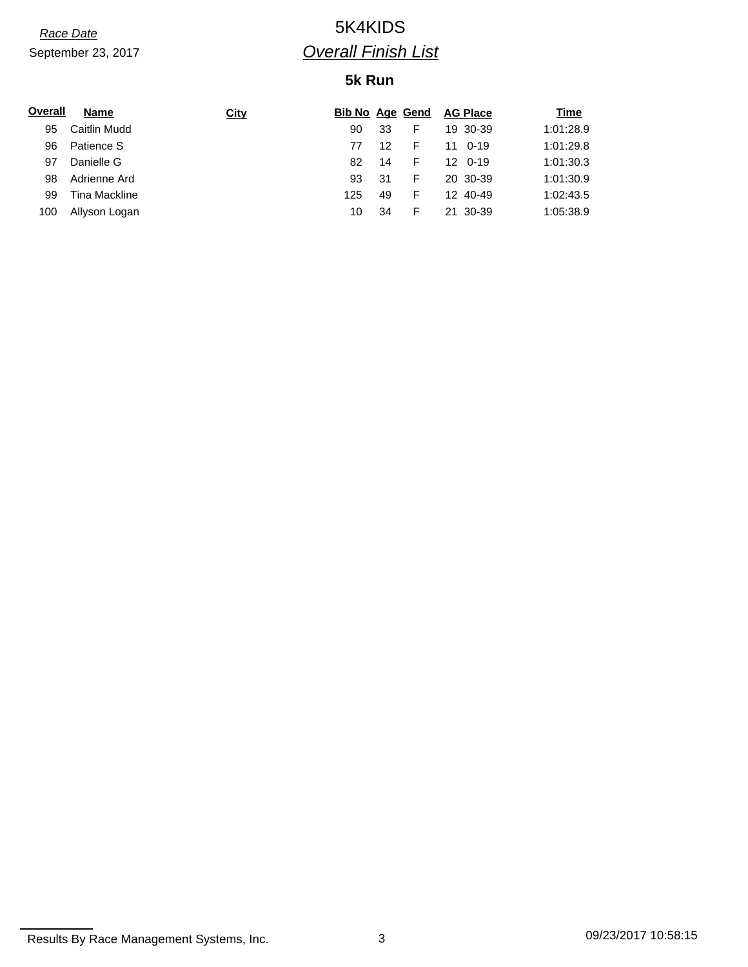## *Race Date* 5K4KIDS *Overall Finish List*

### **5k Run**

| Overall | <b>Name</b>   | <b>City</b> | <b>Bib No Age Gend</b> |    |    | <b>AG Place</b> | Time      |
|---------|---------------|-------------|------------------------|----|----|-----------------|-----------|
| 95      | Caitlin Mudd  |             | 90                     | 33 | F  | 19 30-39        | 1:01:28.9 |
| 96      | Patience S    |             | 77                     | 12 | F  | 0-19<br>11      | 1:01:29.8 |
| 97      | Danielle G    |             | 82                     | 14 | F. | 12 0-19         | 1:01:30.3 |
| 98      | Adrienne Ard  |             | 93                     | 31 | F  | 20 30-39        | 1:01:30.9 |
| 99      | Tina Mackline |             | 125                    | 49 | F  | 12 40-49        | 1:02:43.5 |
| 100     | Allyson Logan |             | 10                     | 34 | F  | 21 30-39        | 1:05:38.9 |

Results By Race Management Systems, Inc. 3 3 09/23/2017 10:58:15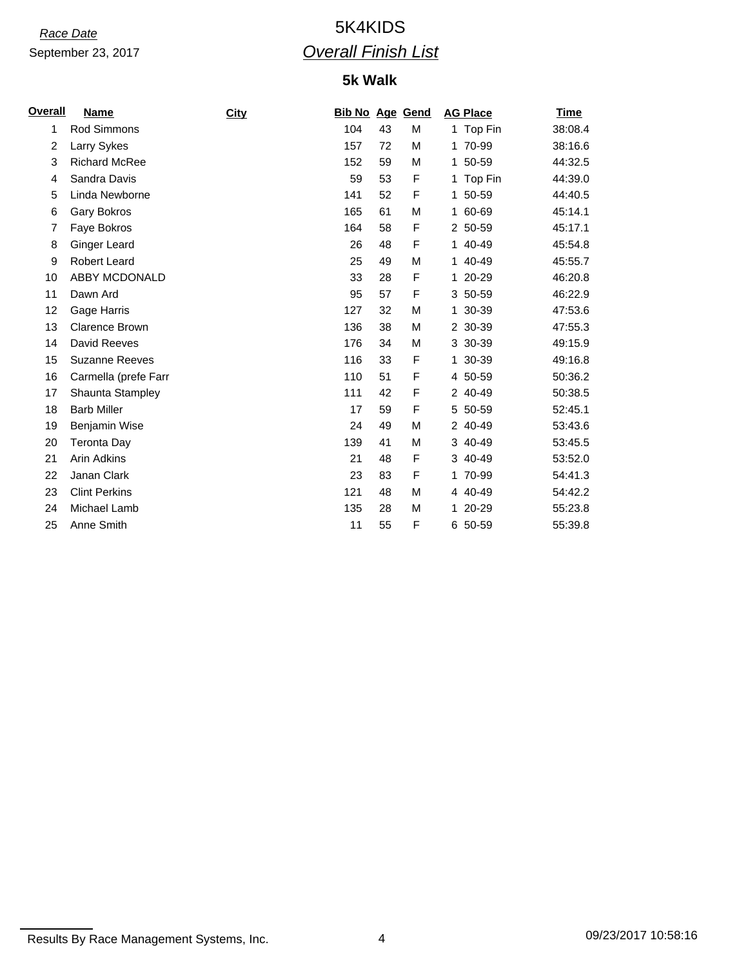## *Race Date* 5K4KIDS *Overall Finish List*

### **5k Walk**

| <u>Overall</u> | <b>Name</b>           | City | <b>Bib No Age Gend</b> |    |   | <b>AG Place</b> | <b>Time</b> |
|----------------|-----------------------|------|------------------------|----|---|-----------------|-------------|
| 1              | Rod Simmons           |      | 104                    | 43 | М | 1 Top Fin       | 38:08.4     |
| 2              | Larry Sykes           |      | 157                    | 72 | M | 1 70-99         | 38:16.6     |
| 3              | <b>Richard McRee</b>  |      | 152                    | 59 | M | 1 50-59         | 44:32.5     |
| 4              | Sandra Davis          |      | 59                     | 53 | F | 1 Top Fin       | 44:39.0     |
| 5              | Linda Newborne        |      | 141                    | 52 | F | 1 50-59         | 44:40.5     |
| 6              | <b>Gary Bokros</b>    |      | 165                    | 61 | M | 1 60-69         | 45:14.1     |
| 7              | Faye Bokros           |      | 164                    | 58 | F | 2 50-59         | 45:17.1     |
| 8              | <b>Ginger Leard</b>   |      | 26                     | 48 | F | 1 40-49         | 45:54.8     |
| 9              | <b>Robert Leard</b>   |      | 25                     | 49 | М | 1 40-49         | 45:55.7     |
| 10             | ABBY MCDONALD         |      | 33                     | 28 | F | 1 20-29         | 46:20.8     |
| 11             | Dawn Ard              |      | 95                     | 57 | F | 3 50-59         | 46:22.9     |
| 12             | Gage Harris           |      | 127                    | 32 | M | 1 30-39         | 47:53.6     |
| 13             | <b>Clarence Brown</b> |      | 136                    | 38 | M | 2 30-39         | 47:55.3     |
| 14             | David Reeves          |      | 176                    | 34 | М | 3 30-39         | 49:15.9     |
| 15             | <b>Suzanne Reeves</b> |      | 116                    | 33 | F | 1 30-39         | 49:16.8     |
| 16             | Carmella (prefe Farr  |      | 110                    | 51 | F | 4 50-59         | 50:36.2     |
| 17             | Shaunta Stampley      |      | 111                    | 42 | F | 2 40-49         | 50:38.5     |
| 18             | <b>Barb Miller</b>    |      | 17                     | 59 | F | 5 50-59         | 52:45.1     |
| 19             | Benjamin Wise         |      | 24                     | 49 | M | 2 40-49         | 53:43.6     |
| 20             | Teronta Day           |      | 139                    | 41 | M | 3 40-49         | 53:45.5     |
| 21             | <b>Arin Adkins</b>    |      | 21                     | 48 | F | 3 40-49         | 53:52.0     |
| 22             | Janan Clark           |      | 23                     | 83 | F | 1 70-99         | 54:41.3     |
| 23             | <b>Clint Perkins</b>  |      | 121                    | 48 | М | 4 40-49         | 54:42.2     |
| 24             | Michael Lamb          |      | 135                    | 28 | M | 1 20-29         | 55:23.8     |
| 25             | Anne Smith            |      | 11                     | 55 | F | 6 50-59         | 55:39.8     |

Results By Race Management Systems, Inc. 4 69/23/2017 10:58:16